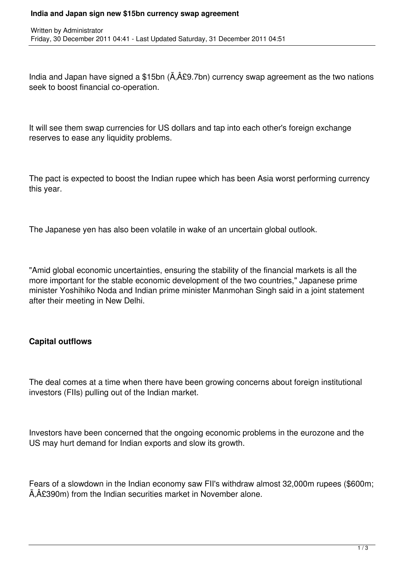#### **India and Japan sign new \$15bn currency swap agreement**

India and Japan have signed a \$15bn  $(\tilde{A}, \hat{A} \mathcal{L}9.7$ bn) currency swap agreement as the two nations seek to boost financial co-operation.

It will see them swap currencies for US dollars and tap into each other's foreign exchange reserves to ease any liquidity problems.

The pact is expected to boost the Indian rupee which has been Asia worst performing currency this year.

The Japanese yen has also been volatile in wake of an uncertain global outlook.

"Amid global economic uncertainties, ensuring the stability of the financial markets is all the more important for the stable economic development of the two countries," Japanese prime minister Yoshihiko Noda and Indian prime minister Manmohan Singh said in a joint statement after their meeting in New Delhi.

## **Capital outflows**

The deal comes at a time when there have been growing concerns about foreign institutional investors (FIIs) pulling out of the Indian market.

Investors have been concerned that the ongoing economic problems in the eurozone and the US may hurt demand for Indian exports and slow its growth.

Fears of a slowdown in the Indian economy saw FII's withdraw almost 32,000m rupees (\$600m; £390m) from the Indian securities market in November alone.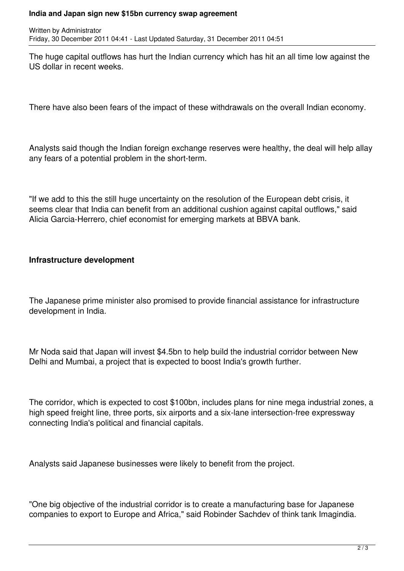#### **India and Japan sign new \$15bn currency swap agreement**

The huge capital outflows has hurt the Indian currency which has hit an all time low against the US dollar in recent weeks.

There have also been fears of the impact of these withdrawals on the overall Indian economy.

Analysts said though the Indian foreign exchange reserves were healthy, the deal will help allay any fears of a potential problem in the short-term.

"If we add to this the still huge uncertainty on the resolution of the European debt crisis, it seems clear that India can benefit from an additional cushion against capital outflows," said Alicia Garcia-Herrero, chief economist for emerging markets at BBVA bank.

# **Infrastructure development**

The Japanese prime minister also promised to provide financial assistance for infrastructure development in India.

Mr Noda said that Japan will invest \$4.5bn to help build the industrial corridor between New Delhi and Mumbai, a project that is expected to boost India's growth further.

The corridor, which is expected to cost \$100bn, includes plans for nine mega industrial zones, a high speed freight line, three ports, six airports and a six-lane intersection-free expressway connecting India's political and financial capitals.

Analysts said Japanese businesses were likely to benefit from the project.

"One big objective of the industrial corridor is to create a manufacturing base for Japanese companies to export to Europe and Africa," said Robinder Sachdev of think tank Imagindia.